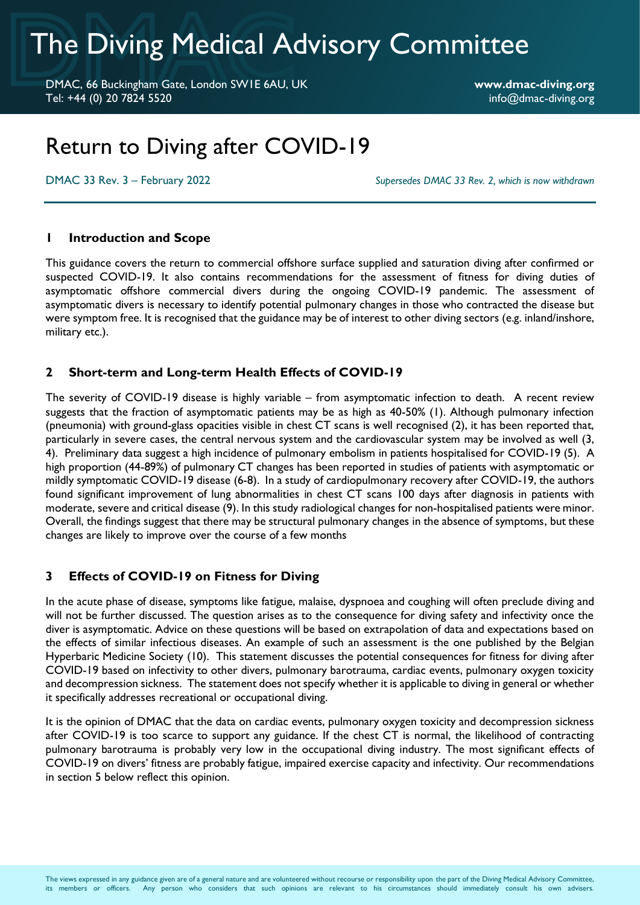# The Diving Medical Advisory Committee

DMAC, 66 Buckingham Gate, London SW1E 6AU, UK **www.dmac-diving.org** Tel: +44 (0) 20 7824 5520 info@dmac-diving.org

# Return to Diving after COVID-19

DMAC 33 Rev. 3 – February 2022 *Supersedes DMAC 33 Rev. 2, which is now withdrawn*

#### **1 Introduction and Scope**

This guidance covers the return to commercial offshore surface supplied and saturation diving after confirmed or suspected COVID-19. It also contains recommendations for the assessment of fitness for diving duties of asymptomatic offshore commercial divers during the ongoing COVID-19 pandemic. The assessment of asymptomatic divers is necessary to identify potential pulmonary changes in those who contracted the disease but were symptom free. It is recognised that the guidance may be of interest to other diving sectors (e.g. inland/inshore, military etc.).

#### **2 Short-term and Long-term Health Effects of COVID-19**

The severity of COVID-19 disease is highly variable – from asymptomatic infection to death. A recent review suggests that the fraction of asymptomatic patients may be as high as 40-50% (1). Although pulmonary infection (pneumonia) with ground-glass opacities visible in chest CT scans is well recognised (2), it has been reported that, particularly in severe cases, the central nervous system and the cardiovascular system may be involved as well (3, 4). Preliminary data suggest a high incidence of pulmonary embolism in patients hospitalised for COVID-19 (5). A high proportion (44-89%) of pulmonary CT changes has been reported in studies of patients with asymptomatic or mildly symptomatic COVID-19 disease (6-8). In a study of cardiopulmonary recovery after COVID-19, the authors found significant improvement of lung abnormalities in chest CT scans 100 days after diagnosis in patients with moderate, severe and critical disease (9). In this study radiological changes for non-hospitalised patients were minor. Overall, the findings suggest that there may be structural pulmonary changes in the absence of symptoms, but these changes are likely to improve over the course of a few months

# **3 Effects of COVID-19 on Fitness for Diving**

In the acute phase of disease, symptoms like fatigue, malaise, dyspnoea and coughing will often preclude diving and will not be further discussed. The question arises as to the consequence for diving safety and infectivity once the diver is asymptomatic. Advice on these questions will be based on extrapolation of data and expectations based on the effects of similar infectious diseases. An example of such an assessment is the one published by the Belgian Hyperbaric Medicine Society (10). This statement discusses the potential consequences for fitness for diving after COVID-19 based on infectivity to other divers, pulmonary barotrauma, cardiac events, pulmonary oxygen toxicity and decompression sickness. The statement does not specify whether it is applicable to diving in general or whether it specifically addresses recreational or occupational diving.

It is the opinion of DMAC that the data on cardiac events, pulmonary oxygen toxicity and decompression sickness after COVID-19 is too scarce to support any guidance. If the chest CT is normal, the likelihood of contracting pulmonary barotrauma is probably very low in the occupational diving industry. The most significant effects of COVID-19 on divers' fitness are probably fatigue, impaired exercise capacity and infectivity. Our recommendations in section 5 below reflect this opinion.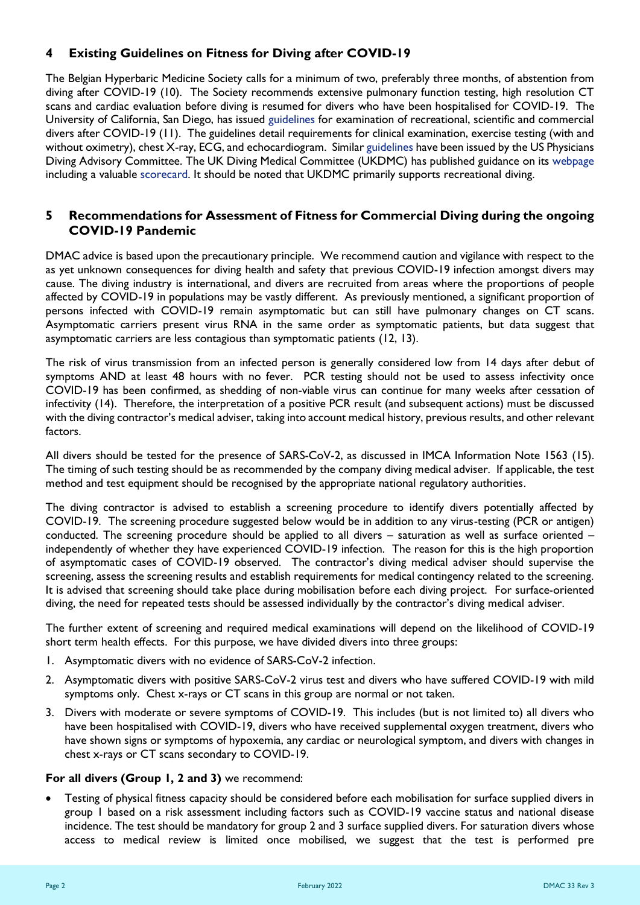# **4 Existing Guidelines on Fitness for Diving after COVID-19**

The Belgian Hyperbaric Medicine Society calls for a minimum of two, preferably three months, of abstention from diving after COVID-19 (10). The Society recommends extensive pulmonary function testing, high resolution CT scans and cardiac evaluation before diving is resumed for divers who have been hospitalised for COVID-19. The University of California, San Diego, has issued [guidelines](https://health.ucsd.edu/coronavirus/Documents/UC%20San%20Diego%20Guidelines%20for%20Evaluation%20of%20Divers%20during%20COVID-19%20pandemic.pdf) for examination of recreational, scientific and commercial divers after COVID-19 (11). The guidelines detail requirements for clinical examination, exercise testing (with and without oximetry), chest X-ray, ECG, and echocardiogram. Similar [guidelines](https://www.adc-int.org/files/COVID%20STATEMENT%20PDAC%20FINAL.pdf) have been issued by the US Physicians Diving Advisory Committee. The UK Diving Medical Committee (UKDMC) has published guidance on its [webpage](http://www.ukdmc.org/medical-conditions/coronavirus-covid-19/) including a valuable [scorecard.](http://www.ukdmc.org/wp-content/uploads/2020/06/UKDMC-COVID-19-diver-scorecard-final-June-2020.pdf) It should be noted that UKDMC primarily supports recreational diving.

## **5 Recommendations for Assessment of Fitness for Commercial Diving during the ongoing COVID-19 Pandemic**

DMAC advice is based upon the precautionary principle. We recommend caution and vigilance with respect to the as yet unknown consequences for diving health and safety that previous COVID-19 infection amongst divers may cause. The diving industry is international, and divers are recruited from areas where the proportions of people affected by COVID-19 in populations may be vastly different. As previously mentioned, a significant proportion of persons infected with COVID-19 remain asymptomatic but can still have pulmonary changes on CT scans. Asymptomatic carriers present virus RNA in the same order as symptomatic patients, but data suggest that asymptomatic carriers are less contagious than symptomatic patients (12, 13).

The risk of virus transmission from an infected person is generally considered low from 14 days after debut of symptoms AND at least 48 hours with no fever. PCR testing should not be used to assess infectivity once COVID-19 has been confirmed, as shedding of non-viable virus can continue for many weeks after cessation of infectivity (14). Therefore, the interpretation of a positive PCR result (and subsequent actions) must be discussed with the diving contractor's medical adviser, taking into account medical history, previous results, and other relevant factors.

All divers should be tested for the presence of SARS-CoV-2, as discussed in IMCA Information Note 1563 (15). The timing of such testing should be as recommended by the company diving medical adviser. If applicable, the test method and test equipment should be recognised by the appropriate national regulatory authorities.

The diving contractor is advised to establish a screening procedure to identify divers potentially affected by COVID-19. The screening procedure suggested below would be in addition to any virus-testing (PCR or antigen) conducted. The screening procedure should be applied to all divers – saturation as well as surface oriented – independently of whether they have experienced COVID-19 infection. The reason for this is the high proportion of asymptomatic cases of COVID-19 observed. The contractor's diving medical adviser should supervise the screening, assess the screening results and establish requirements for medical contingency related to the screening. It is advised that screening should take place during mobilisation before each diving project. For surface-oriented diving, the need for repeated tests should be assessed individually by the contractor's diving medical adviser.

The further extent of screening and required medical examinations will depend on the likelihood of COVID-19 short term health effects. For this purpose, we have divided divers into three groups:

- 1. Asymptomatic divers with no evidence of SARS-CoV-2 infection.
- 2. Asymptomatic divers with positive SARS-CoV-2 virus test and divers who have suffered COVID-19 with mild symptoms only. Chest x-rays or CT scans in this group are normal or not taken.
- 3. Divers with moderate or severe symptoms of COVID-19. This includes (but is not limited to) all divers who have been hospitalised with COVID-19, divers who have received supplemental oxygen treatment, divers who have shown signs or symptoms of hypoxemia, any cardiac or neurological symptom, and divers with changes in chest x-rays or CT scans secondary to COVID-19.

#### **For all divers (Group 1, 2 and 3)** we recommend:

• Testing of physical fitness capacity should be considered before each mobilisation for surface supplied divers in group 1 based on a risk assessment including factors such as COVID-19 vaccine status and national disease incidence. The test should be mandatory for group 2 and 3 surface supplied divers. For saturation divers whose access to medical review is limited once mobilised, we suggest that the test is performed pre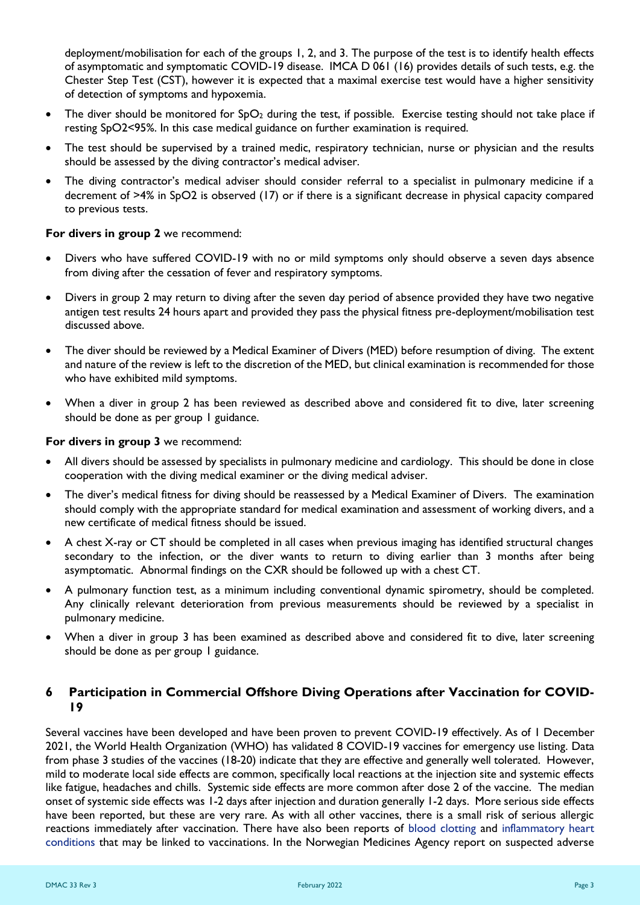deployment/mobilisation for each of the groups 1, 2, and 3. The purpose of the test is to identify health effects of asymptomatic and symptomatic COVID-19 disease. IMCA D 061 (16) provides details of such tests, e.g. the Chester Step Test (CST), however it is expected that a maximal exercise test would have a higher sensitivity of detection of symptoms and hypoxemia.

- The diver should be monitored for  $SpO<sub>2</sub>$  during the test, if possible. Exercise testing should not take place if resting SpO2<95%. In this case medical guidance on further examination is required.
- The test should be supervised by a trained medic, respiratory technician, nurse or physician and the results should be assessed by the diving contractor's medical adviser.
- The diving contractor's medical adviser should consider referral to a specialist in pulmonary medicine if a decrement of >4% in SpO2 is observed (17) or if there is a significant decrease in physical capacity compared to previous tests.

#### **For divers in group 2** we recommend:

- Divers who have suffered COVID-19 with no or mild symptoms only should observe a seven days absence from diving after the cessation of fever and respiratory symptoms.
- Divers in group 2 may return to diving after the seven day period of absence provided they have two negative antigen test results 24 hours apart and provided they pass the physical fitness pre-deployment/mobilisation test discussed above.
- The diver should be reviewed by a Medical Examiner of Divers (MED) before resumption of diving. The extent and nature of the review is left to the discretion of the MED, but clinical examination is recommended for those who have exhibited mild symptoms.
- When a diver in group 2 has been reviewed as described above and considered fit to dive, later screening should be done as per group 1 guidance.

#### **For divers in group 3** we recommend:

- All divers should be assessed by specialists in pulmonary medicine and cardiology. This should be done in close cooperation with the diving medical examiner or the diving medical adviser.
- The diver's medical fitness for diving should be reassessed by a Medical Examiner of Divers. The examination should comply with the appropriate standard for medical examination and assessment of working divers, and a new certificate of medical fitness should be issued.
- A chest X-ray or CT should be completed in all cases when previous imaging has identified structural changes secondary to the infection, or the diver wants to return to diving earlier than 3 months after being asymptomatic. Abnormal findings on the CXR should be followed up with a chest CT.
- A pulmonary function test, as a minimum including conventional dynamic spirometry, should be completed. Any clinically relevant deterioration from previous measurements should be reviewed by a specialist in pulmonary medicine.
- When a diver in group 3 has been examined as described above and considered fit to dive, later screening should be done as per group 1 guidance.

#### **6 Participation in Commercial Offshore Diving Operations after Vaccination for COVID-19**

Several vaccines have been developed and have been proven to prevent COVID-19 effectively. As of 1 December 2021, the World Health Organization (WHO) has validated 8 COVID-19 vaccines for emergency use listing. Data from phase 3 studies of the vaccines (18-20) indicate that they are effective and generally well tolerated. However, mild to moderate local side effects are common, specifically local reactions at the injection site and systemic effects like fatigue, headaches and chills. Systemic side effects are more common after dose 2 of the vaccine. The median onset of systemic side effects was 1-2 days after injection and duration generally 1-2 days. More serious side effects have been reported, but these are very rare. As with all other vaccines, there is a small risk of serious allergic reactions immediately after vaccination. There have also been reports of [blood clotting](https://www.who.int/news/item/16-04-2021-global-advisory-committee-on-vaccine-safety-(gacvs)-review-of-latest-evidence-of-rare-adverse-blood-coagulation-events-with-astrazeneca-covid-19-vaccine-(vaxzevria-and-covishield)) and [inflammatory heart](https://www.cdc.gov/coronavirus/2019-ncov/vaccines/safety/myocarditis.html)  [conditions](https://www.cdc.gov/coronavirus/2019-ncov/vaccines/safety/myocarditis.html) that may be linked to vaccinations. In the Norwegian Medicines Agency report on suspected adverse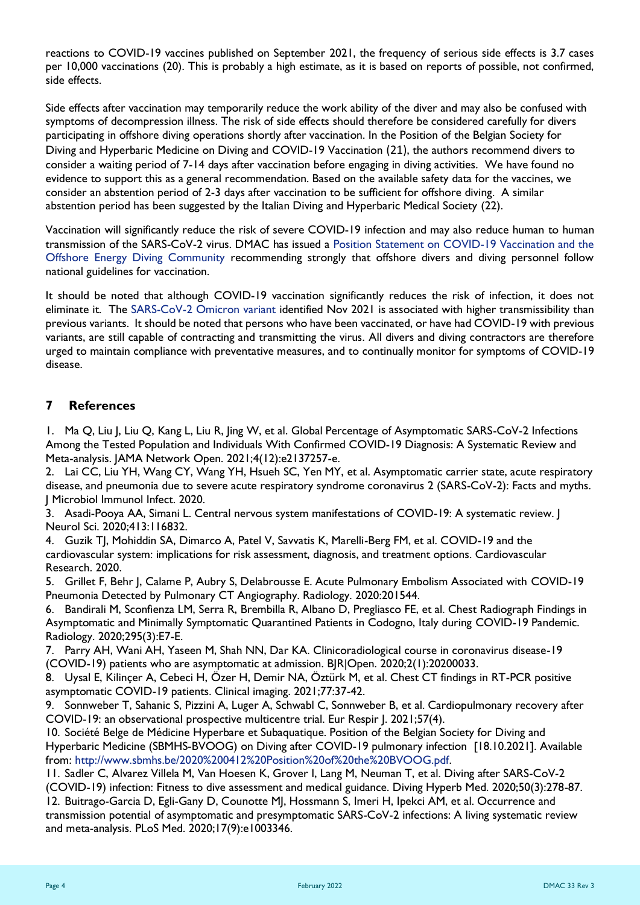reactions to COVID-19 vaccines published on September 2021, the frequency of serious side effects is 3.7 cases per 10,000 vaccinations (20). This is probably a high estimate, as it is based on reports of possible, not confirmed, side effects.

Side effects after vaccination may temporarily reduce the work ability of the diver and may also be confused with symptoms of decompression illness. The risk of side effects should therefore be considered carefully for divers participating in offshore diving operations shortly after vaccination. In the Position of the Belgian Society for Diving and Hyperbaric Medicine on Diving and COVID-19 Vaccination (21), the authors recommend divers to consider a waiting period of 7-14 days after vaccination before engaging in diving activities. We have found no evidence to support this as a general recommendation. Based on the available safety data for the vaccines, we consider an abstention period of 2-3 days after vaccination to be sufficient for offshore diving. A similar abstention period has been suggested by the Italian Diving and Hyperbaric Medical Society (22).

Vaccination will significantly reduce the risk of severe COVID-19 infection and may also reduce human to human transmission of the SARS-CoV-2 virus. DMAC has issued a [Position Statement on COVID-19 Vaccination and the](https://www.dmac-diving.org/guidance/DMAC-Statement-202110.pdf)  [Offshore Energy Diving Community](https://www.dmac-diving.org/guidance/DMAC-Statement-202110.pdf) recommending strongly that offshore divers and diving personnel follow national guidelines for vaccination.

It should be noted that although COVID-19 vaccination significantly reduces the risk of infection, it does not eliminate it. The [SARS-CoV-2 Omicron variant](https://www.who.int/news/item/26-11-2021-classification-of-omicron-(b.1.1.529)-sars-cov-2-variant-of-concern) identified Nov 2021 is associated with higher transmissibility than previous variants. It should be noted that persons who have been vaccinated, or have had COVID-19 with previous variants, are still capable of contracting and transmitting the virus. All divers and diving contractors are therefore urged to maintain compliance with preventative measures, and to continually monitor for symptoms of COVID-19 disease.

### **7 References**

1. Ma Q, Liu J, Liu Q, Kang L, Liu R, Jing W, et al. Global Percentage of Asymptomatic SARS-CoV-2 Infections Among the Tested Population and Individuals With Confirmed COVID-19 Diagnosis: A Systematic Review and Meta-analysis. JAMA Network Open. 2021;4(12):e2137257-e.

2. Lai CC, Liu YH, Wang CY, Wang YH, Hsueh SC, Yen MY, et al. Asymptomatic carrier state, acute respiratory disease, and pneumonia due to severe acute respiratory syndrome coronavirus 2 (SARS-CoV-2): Facts and myths. J Microbiol Immunol Infect. 2020.

3. Asadi-Pooya AA, Simani L. Central nervous system manifestations of COVID-19: A systematic review. J Neurol Sci. 2020;413:116832.

4. Guzik TJ, Mohiddin SA, Dimarco A, Patel V, Savvatis K, Marelli-Berg FM, et al. COVID-19 and the cardiovascular system: implications for risk assessment, diagnosis, and treatment options. Cardiovascular Research. 2020.

5. Grillet F, Behr J, Calame P, Aubry S, Delabrousse E. Acute Pulmonary Embolism Associated with COVID-19 Pneumonia Detected by Pulmonary CT Angiography. Radiology. 2020:201544.

6. Bandirali M, Sconfienza LM, Serra R, Brembilla R, Albano D, Pregliasco FE, et al. Chest Radiograph Findings in Asymptomatic and Minimally Symptomatic Quarantined Patients in Codogno, Italy during COVID-19 Pandemic. Radiology. 2020;295(3):E7-E.

7. Parry AH, Wani AH, Yaseen M, Shah NN, Dar KA. Clinicoradiological course in coronavirus disease-19 (COVID-19) patients who are asymptomatic at admission. BJR|Open. 2020;2(1):20200033.

8. Uysal E, Kilinçer A, Cebeci H, Özer H, Demir NA, Öztürk M, et al. Chest CT findings in RT-PCR positive asymptomatic COVID-19 patients. Clinical imaging. 2021;77:37-42.

9. Sonnweber T, Sahanic S, Pizzini A, Luger A, Schwabl C, Sonnweber B, et al. Cardiopulmonary recovery after COVID-19: an observational prospective multicentre trial. Eur Respir J. 2021;57(4).

10. Société Belge de Médicine Hyperbare et Subaquatique. Position of the Belgian Society for Diving and Hyperbaric Medicine (SBMHS-BVOOG) on Diving after COVID-19 pulmonary infection [18.10.2021]. Available from: [http://www.sbmhs.be/2020%200412%20Position%20of%20the%20BVOOG.pdf.](http://www.sbmhs.be/2020%200412%20Position%20of%20the%20BVOOG.pdf)

11. Sadler C, Alvarez Villela M, Van Hoesen K, Grover I, Lang M, Neuman T, et al. Diving after SARS-CoV-2 (COVID-19) infection: Fitness to dive assessment and medical guidance. Diving Hyperb Med. 2020;50(3):278-87.

12. Buitrago-Garcia D, Egli-Gany D, Counotte MJ, Hossmann S, Imeri H, Ipekci AM, et al. Occurrence and transmission potential of asymptomatic and presymptomatic SARS-CoV-2 infections: A living systematic review and meta-analysis. PLoS Med. 2020;17(9):e1003346.